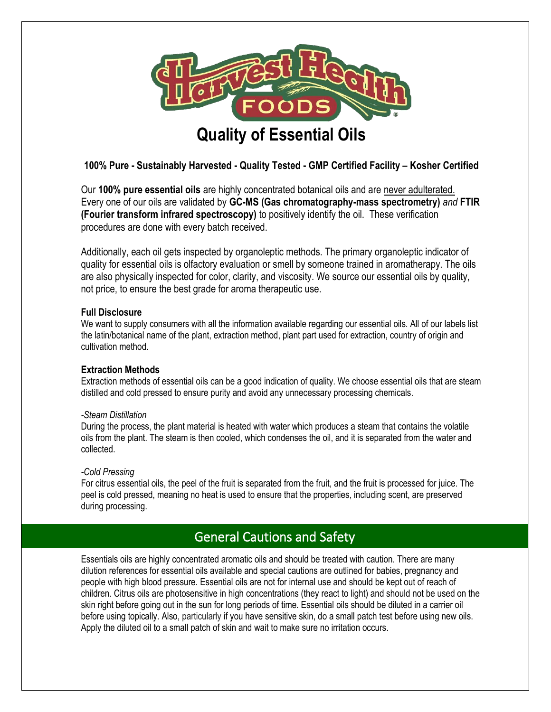

### **100% Pure - Sustainably Harvested - Quality Tested - GMP Certified Facility – Kosher Certified**

Our **100% pure essential oils** are highly concentrated botanical oils and are never adulterated. Every one of our oils are validated by **GC-MS (Gas chromatography-mass spectrometry)** *and* **FTIR (Fourier transform infrared spectroscopy)** to positively identify the oil. These verification procedures are done with every batch received.

Additionally, each oil gets inspected by organoleptic methods. The primary organoleptic indicator of quality for essential oils is olfactory evaluation or smell by someone trained in aromatherapy. The oils are also physically inspected for color, clarity, and viscosity. We source our essential oils by quality, not price, to ensure the best grade for aroma therapeutic use.

#### **Full Disclosure**

We want to supply consumers with all the information available regarding our essential oils. All of our labels list the latin/botanical name of the plant, extraction method, plant part used for extraction, country of origin and cultivation method.

#### **Extraction Methods**

Extraction methods of essential oils can be a good indication of quality. We choose essential oils that are steam distilled and cold pressed to ensure purity and avoid any unnecessary processing chemicals.

#### *-Steam Distillation*

During the process, the plant material is heated with water which produces a steam that contains the volatile oils from the plant. The steam is then cooled, which condenses the oil, and it is separated from the water and collected.

#### *-Cold Pressing*

 $\overline{a}$ 

For citrus essential oils, the peel of the fruit is separated from the fruit, and the fruit is processed for juice. The peel is cold pressed, meaning no heat is used to ensure that the properties, including scent, are preserved during processing.

# g Harvest Health Foods Essential Cautions and Safety

Essentials oils are highly concentrated aromatic oils and should be treated with caution. There are many dilution references for essential oils available and special cautions are outlined for babies, pregnancy and people with high blood pressure. Essential oils are not for internal use and should be kept out of reach of children. Citrus oils are photosensitive in high concentrations (they react to light) and should not be used on the skin right before going out in the sun for long periods of time. Essential oils should be diluted in a carrier oil before using topically. Also, particularly if you have sensitive skin, do a small patch test before using new oils. Apply the diluted oil to a small patch of skin and wait to make sure no irritation occurs.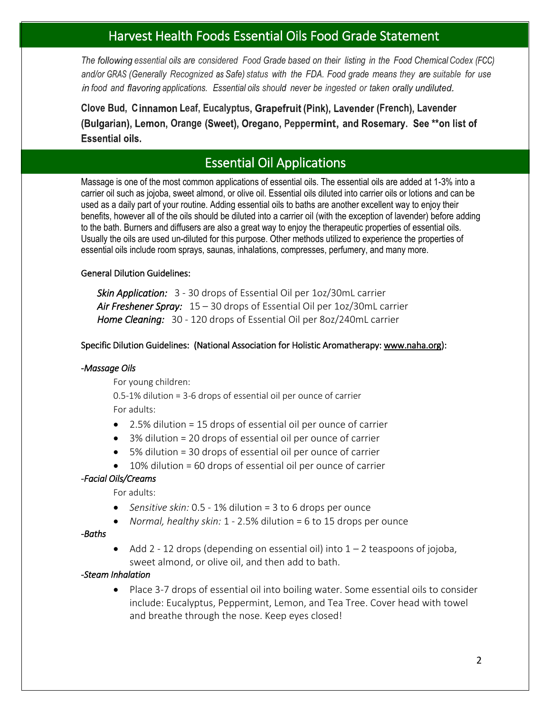# Harvest Health Foods Essential Oils Food Grade Statement

*The essential oils are considered Food Grade based on their listing in the Food ChemicalCodex and/or (Generally Recognized Safe) status with the FDA. Food grade means they suitable for use food and applications. Essential oils should never be ingested or taken*

**Clove Bud, Cinnamon Leaf, Eucalyptus, Grapefruit (Pink), Lavender (French), Lavender** (Bulgarian), Lemon, Orange (Sweet), Oregano, Peppermint, and Rosemary. See \*\*on list of **Essential oils.** 

# Essential Oil Applications

Massage is one of the most common applications of essential oils. The essential oils are added at 1-3% into a carrier oil such as jojoba, sweet almond, or olive oil. Essential oils diluted into carrier oils or lotions and can be used as a daily part of your routine. Adding essential oils to baths are another excellent way to enjoy their benefits, however all of the oils should be diluted into a carrier oil (with the exception of lavender) before adding to the bath. Burners and diffusers are also a great way to enjoy the therapeutic properties of essential oils. Usually the oils are used un-diluted for this purpose. Other methods utilized to experience the properties of essential oils include room sprays, saunas, inhalations, compresses, perfumery, and many more.

#### General Dilution Guidelines:

*Skin Application:* 3 - 30 drops of Essential Oil per 1oz/30mL carrier *Air Freshener Spray:* 15 – 30 drops of Essential Oil per 1oz/30mL carrier *Home Cleaning:* 30 - 120 drops of Essential Oil per 8oz/240mL carrier

#### Specific Dilution Guidelines: (National Association for Holistic Aromatherapy[: www.naha.org\)](http://www.naha.org/):

#### *-Massage Oils*

For young children:

0.5-1% dilution = 3-6 drops of essential oil per ounce of carrier For adults:

- 2.5% dilution = 15 drops of essential oil per ounce of carrier
- 3% dilution = 20 drops of essential oil per ounce of carrier
- 5% dilution = 30 drops of essential oil per ounce of carrier
- 10% dilution = 60 drops of essential oil per ounce of carrier

### *-Facial Oils/Creams*

For adults:

- *Sensitive skin:* 0.5 1% dilution = 3 to 6 drops per ounce
- *Normal, healthy skin:* 1 2.5% dilution = 6 to 15 drops per ounce

#### *-Baths*

• Add 2 - 12 drops (depending on essential oil) into  $1 - 2$  teaspoons of jojoba, sweet almond, or olive oil, and then add to bath.

#### *-Steam Inhalation*

• Place 3-7 drops of essential oil into boiling water. Some essential oils to consider include: Eucalyptus, Peppermint, Lemon, and Tea Tree. Cover head with towel and breathe through the nose. Keep eyes closed!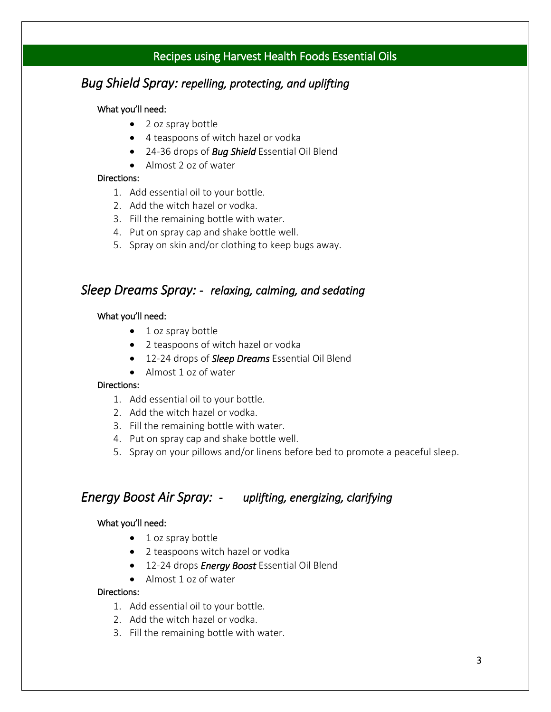# Recipes using Harvest Health Foods Essential Oils

# *Bug Shield Spray: repelling, protecting, and uplifting*

#### What you'll need:

- 2 oz spray bottle
- 4 teaspoons of witch hazel or vodka
- 24-36 drops of *Bug Shield* Essential Oil Blend
- Almost 2 oz of water

#### Directions:

- 1. Add essential oil to your bottle.
- 2. Add the witch hazel or vodka.
- 3. Fill the remaining bottle with water.
- 4. Put on spray cap and shake bottle well.
- 5. Spray on skin and/or clothing to keep bugs away.

### *Sleep Dreams Spray: - relaxing, calming, and sedating*

#### What you'll need:

- 1 oz spray bottle
- 2 teaspoons of witch hazel or vodka
- 12-24 drops of *Sleep Dreams* Essential Oil Blend
- Almost 1 oz of water

#### Directions:

- 1. Add essential oil to your bottle.
- 2. Add the witch hazel or vodka.
- 3. Fill the remaining bottle with water.
- 4. Put on spray cap and shake bottle well.
- 5. Spray on your pillows and/or linens before bed to promote a peaceful sleep.

### *Energy Boost Air Spray: - uplifting, energizing, clarifying*

#### What you'll need:

- 1 oz spray bottle
- 2 teaspoons witch hazel or vodka
- 12-24 drops *Energy Boost* Essential Oil Blend
- Almost 1 oz of water

#### Directions:

- 1. Add essential oil to your bottle.
- 2. Add the witch hazel or vodka.
- 3. Fill the remaining bottle with water.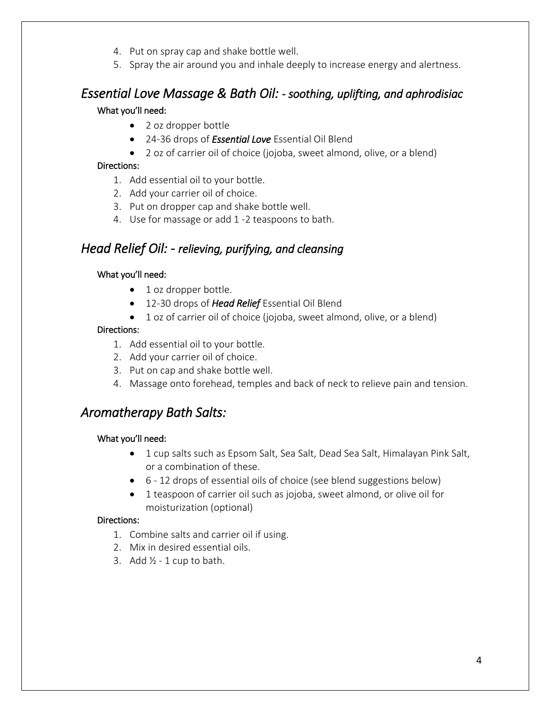- 4. Put on spray cap and shake bottle well.
- 5. Spray the air around you and inhale deeply to increase energy and alertness.

# *Essential Love Massage & Bath Oil: - soothing, uplifting, and aphrodisiac*

#### What you'll need:

- 2 oz dropper bottle
- 24-36 drops of *Essential Love* Essential Oil Blend
- 2 oz of carrier oil of choice (jojoba, sweet almond, olive, or a blend)

#### Directions:

- 1. Add essential oil to your bottle.
- 2. Add your carrier oil of choice.
- 3. Put on dropper cap and shake bottle well.
- 4. Use for massage or add 1 -2 teaspoons to bath.

# *Head Relief Oil: - relieving, purifying, and cleansing*

#### What you'll need:

- 1 oz dropper bottle.
- 12-30 drops of *Head Relief* Essential Oil Blend
- 1 oz of carrier oil of choice (jojoba, sweet almond, olive, or a blend)

#### Directions:

- 1. Add essential oil to your bottle.
- 2. Add your carrier oil of choice.
- 3. Put on cap and shake bottle well.
- 4. Massage onto forehead, temples and back of neck to relieve pain and tension.

# *Aromatherapy Bath Salts:*

#### What you'll need:

- 1 cup salts such as Epsom Salt, Sea Salt, Dead Sea Salt, Himalayan Pink Salt, or a combination of these.
- 6 12 drops of essential oils of choice (see blend suggestions below)
- 1 teaspoon of carrier oil such as jojoba, sweet almond, or olive oil for moisturization (optional)

#### Directions:

- 1. Combine salts and carrier oil if using.
- 2. Mix in desired essential oils.
- 3. Add  $\frac{1}{2}$  1 cup to bath.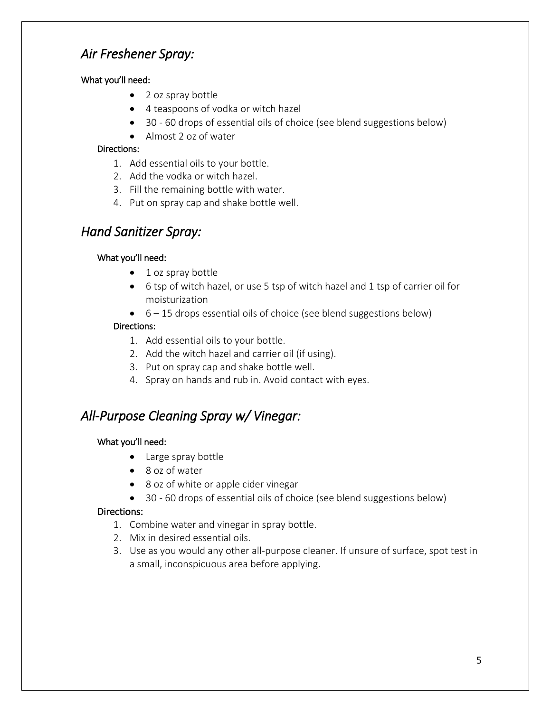# *Air Freshener Spray:*

### What you'll need:

- 2 oz spray bottle
- 4 teaspoons of vodka or witch hazel
- 30 60 drops ofessential oils of choice (see blend suggestions below)
- Almost 2 oz of water

### Directions:

- 1. Add essential oils to your bottle.
- 2. Add the vodka or witch hazel.
- 3. Fill the remaining bottle with water.
- 4. Put on spray cap and shake bottle well.

# *Hand Sanitizer Spray:*

### What you'll need:

- 1 oz spray bottle
- 6 tsp of witch hazel, or use 5 tsp of witch hazel and 1 tsp of carrier oil for moisturization
- $\bullet$  6 15 drops essential oils of choice (see blend suggestions below)

### Directions:

- 1. Add essential oils to your bottle.
- 2. Add the witch hazel and carrier oil (if using).
- 3. Put on spray cap and shake bottle well.
- 4. Spray on hands and rub in. Avoid contact with eyes.

# *All-Purpose Cleaning Spray w/ Vinegar:*

### What you'll need:

- Large spray bottle
- 8 oz of water
- 8 oz of white or apple cider vinegar
- 30 60 drops of essential oils of choice (see blend suggestions below)

### Directions:

- 1. Combine water and vinegar in spray bottle.
- 2. Mix in desired essential oils.
- 3. Use as you would any other all-purpose cleaner. If unsure of surface, spot test in a small, inconspicuous area before applying.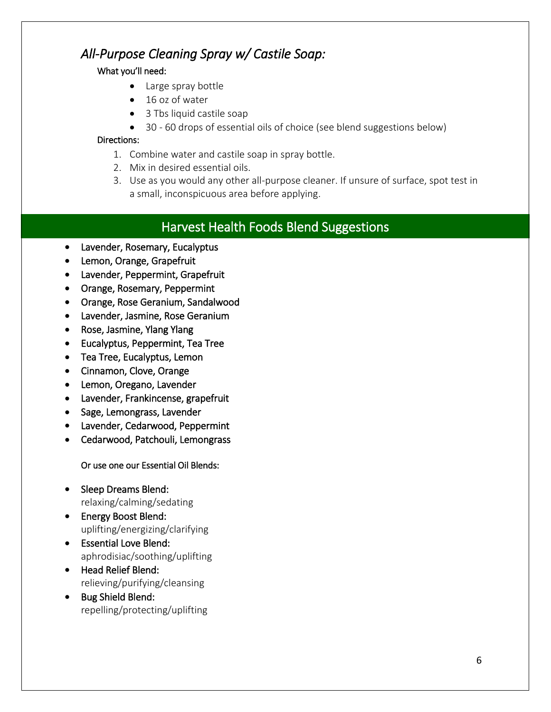# *All-Purpose Cleaning Spray w/ Castile Soap:*

### What you'll need:

- Large spray bottle
- 16 oz of water
- 3 Tbs liquid castile soap
- 30 60 drops of essential oils of choice (see blend suggestions below)

### Directions:

- 1. Combine water and castile soap in spray bottle.
- 2. Mix in desired essential oils.
- 3. Use as you would any other all-purpose cleaner. If unsure of surface, spot test in a small, inconspicuous area before applying.

# Harvest Health Foods Blend Suggestions

- Lavender, Rosemary, Eucalyptus
- Lemon, Orange, Grapefruit
- Lavender, Peppermint, Grapefruit
- Orange, Rosemary, Peppermint
- Orange, Rose Geranium, Sandalwood
- Lavender, Jasmine, Rose Geranium
- Rose, Jasmine, Ylang Ylang
- Eucalyptus, Peppermint, Tea Tree
- Tea Tree, Eucalyptus, Lemon
- Cinnamon, Clove, Orange
- Lemon, Oregano, Lavender
- Lavender, Frankincense, grapefruit
- Sage, Lemongrass, Lavender
- Lavender, Cedarwood, Peppermint
- Cedarwood, Patchouli, Lemongrass

Or use one our Essential Oil Blends:

- Sleep Dreams Blend: relaxing/calming/sedating
- Energy Boost Blend: uplifting/energizing/clarifying
- Essential Love Blend: aphrodisiac/soothing/uplifting
- Head Relief Blend: relieving/purifying/cleansing
- Bug Shield Blend: repelling/protecting/uplifting